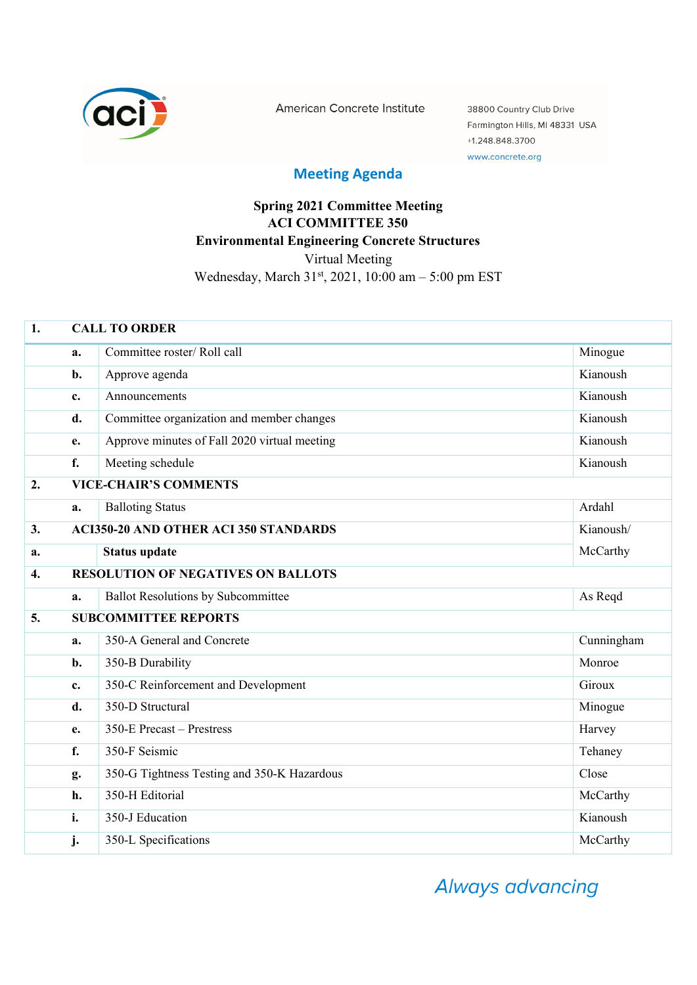

American Concrete Institute

38800 Country Club Drive Farmington Hills, MI 48331 USA +1.248.848.3700 www.concrete.org

## **Meeting Agenda**

## **Spring 2021 Committee Meeting ACI COMMITTEE 350 Environmental Engineering Concrete Structures**  Virtual Meeting Wednesday, March 31<sup>st</sup>, 2021, 10:00 am - 5:00 pm EST

| 1.               | <b>CALL TO ORDER</b>                                      |                                              |            |  |
|------------------|-----------------------------------------------------------|----------------------------------------------|------------|--|
|                  | a.                                                        | Committee roster/Roll call                   | Minogue    |  |
|                  | b.                                                        | Approve agenda                               | Kianoush   |  |
|                  | $c_{\cdot}$                                               | Announcements                                | Kianoush   |  |
|                  | d.                                                        | Committee organization and member changes    | Kianoush   |  |
|                  | e.                                                        | Approve minutes of Fall 2020 virtual meeting | Kianoush   |  |
|                  | f.                                                        | Meeting schedule                             | Kianoush   |  |
| 2.               | <b>VICE-CHAIR'S COMMENTS</b>                              |                                              |            |  |
|                  | a.                                                        | <b>Balloting Status</b>                      | Ardahl     |  |
| 3.               | <b>ACI350-20 AND OTHER ACI 350 STANDARDS</b><br>Kianoush/ |                                              |            |  |
| a.               |                                                           | <b>Status update</b>                         | McCarthy   |  |
| $\overline{4}$ . |                                                           | <b>RESOLUTION OF NEGATIVES ON BALLOTS</b>    |            |  |
|                  | a.                                                        | Ballot Resolutions by Subcommittee           | As Reqd    |  |
| 5.               | <b>SUBCOMMITTEE REPORTS</b>                               |                                              |            |  |
|                  | a.                                                        | 350-A General and Concrete                   | Cunningham |  |
|                  | b.                                                        | 350-B Durability                             | Monroe     |  |
|                  | c.                                                        | 350-C Reinforcement and Development          | Giroux     |  |
|                  | d.                                                        | 350-D Structural                             | Minogue    |  |
|                  | e.                                                        | 350-E Precast - Prestress                    | Harvey     |  |
|                  | f.                                                        | 350-F Seismic                                | Tehaney    |  |
|                  | g.                                                        | 350-G Tightness Testing and 350-K Hazardous  | Close      |  |
|                  | h.                                                        | 350-H Editorial                              | McCarthy   |  |
|                  | i.                                                        | 350-J Education                              | Kianoush   |  |
|                  | j.                                                        | 350-L Specifications                         | McCarthy   |  |

Always advancing